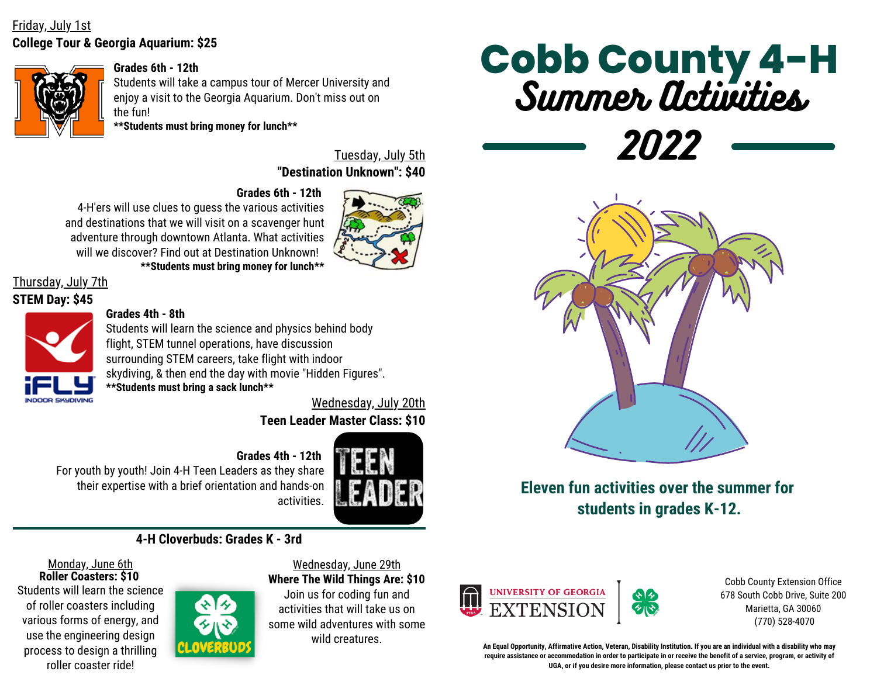# **College Tour & Georgia Aquarium: \$25** Friday, July 1st



#### **Grades 6th - 12th**

Students will take a campus tour of Mercer University and enjoy a visit to the Georgia Aquarium. Don't miss out on the fun!

**\*\*Students must bring money for lunch\*\***

**"Destination Unknown": \$40** Tuesday, July 5th

**Grades 6th - 12th** 4-H'ers will use clues to guess the various activities and destinations that we will visit on a scavenger hunt adventure through downtown Atlanta. What activities will we discover? Find out at Destination Unknown! **\*\*Students must bring money for lunch\*\***



Thursday, July 7th

#### **STEM Day: \$45**



#### **Grades 4th - 8th**

Students will learn the science and physics behind body flight, STEM tunnel operations, have discussion surrounding STEM careers, take flight with indoor skydiving, & then end the day with movie "Hidden Figures". **\*\*Students must bring a sack lunch\*\***

**Teen Leader Master Class: \$10** Wednesday, July 20th

#### **Grades 4th - 12th**

For youth by youth! Join 4-H Teen Leaders as they share their expertise with a brief orientation and hands-on activities.



# **4-H Cloverbuds: Grades K - 3rd**

Monday, June 6th **Roller Coasters: \$10** Students will learn the science of roller coasters including various forms of energy, and use the engineering design process to design a thrilling roller coaster ride!



#### Wednesday, June 29th **Where The Wild Things Are: \$10**

Join us for coding fun and activities that will take us on some wild adventures with some wild creatures.

# Summer Activities **Cobb County 4-H**

2022



**Eleven fun activities over the summer for students in grades K-12.**



Cobb County Extension Office 678 South Cobb Drive, Suite 200 Marietta, GA 30060 (770) 528-4070

**An Equal Opportunity, Affirmative Action, Veteran, Disability Institution. If you are an individual with a disability who may require assistance or accommodation in order to participate in or receive the benefit of a service, program, or activity of UGA, or if you desire more information, please contact us prior to the event.**